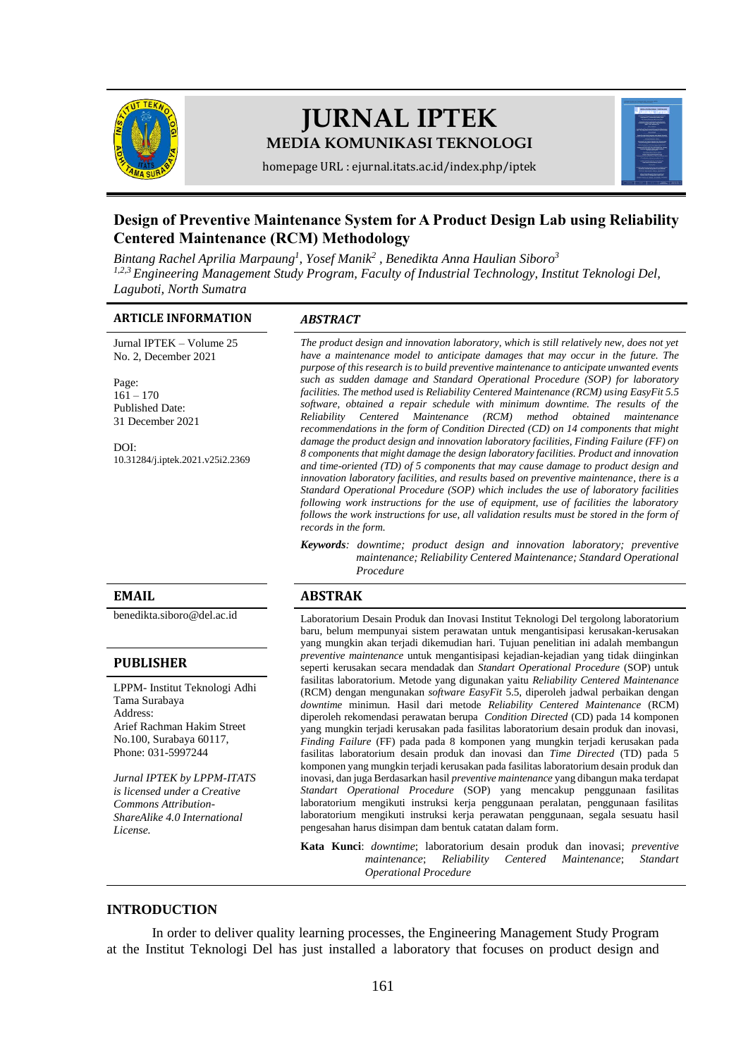

# **JURNAL IPTEK MEDIA KOMUNIKASI TEKNOLOGI**

homepage URL : ejurnal.itats.ac.id/index.php/iptek

## **Design of Preventive Maintenance System for A Product Design Lab using Reliability Centered Maintenance (RCM) Methodology**

*Bintang Rachel Aprilia Marpaung<sup>1</sup> , Yosef Manik<sup>2</sup> , Benedikta Anna Haulian Siboro<sup>3</sup>*

*1,2,3 Engineering Management Study Program, Faculty of Industrial Technology, Institut Teknologi Del, Laguboti, North Sumatra*

#### **ARTICLE INFORMATION** *ABSTRACT*

Jurnal IPTEK – Volume 25 No. 2, December 2021

Page:  $161 - 170$ Published Date: 31 December 2021

DOI: [10.31284/j.iptek.2021.v25i2.2369](https://doi.org/10.31284/j.iptek.2021.v25i2.2369)

*The product design and innovation laboratory, which is still relatively new, does not yet have a maintenance model to anticipate damages that may occur in the future. The purpose of this research is to build preventive maintenance to anticipate unwanted events such as sudden damage and Standard Operational Procedure (SOP) for laboratory facilities. The method used is Reliability Centered Maintenance (RCM) using EasyFit 5.5 software, obtained a repair schedule with minimum downtime. The results of the Reliability Centered Maintenance (RCM) method obtained maintenance recommendations in the form of Condition Directed (CD) on 14 components that might damage the product design and innovation laboratory facilities, Finding Failure (FF) on 8 components that might damage the design laboratory facilities. Product and innovation and time-oriented (TD) of 5 components that may cause damage to product design and innovation laboratory facilities, and results based on preventive maintenance, there is a Standard Operational Procedure (SOP) which includes the use of laboratory facilities following work instructions for the use of equipment, use of facilities the laboratory follows the work instructions for use, all validation results must be stored in the form of records in the form.*

*Keywords: downtime; product design and innovation laboratory; preventive maintenance; Reliability Centered Maintenance; Standard Operational Procedure*

#### **EMAIL ABSTRAK**

[benedikta.siboro@del.ac.id](mailto:benedikta.siboro@del.ac.id) Laboratorium Desain Produk dan Inovasi Institut Teknologi Del tergolong laboratorium baru, belum mempunyai sistem perawatan untuk mengantisipasi kerusakan-kerusakan yang mungkin akan terjadi dikemudian hari. Tujuan penelitian ini adalah membangun *preventive maintenance* untuk mengantisipasi kejadian-kejadian yang tidak diinginkan seperti kerusakan secara mendadak dan *Standart Operational Procedure* (SOP) untuk fasilitas laboratorium. Metode yang digunakan yaitu *Reliability Centered Maintenance* (RCM) dengan mengunakan *software EasyFit* 5.5, diperoleh jadwal perbaikan dengan *downtime* minimun. Hasil dari metode *Reliability Centered Maintenance* (RCM) diperoleh rekomendasi perawatan berupa *Condition Directed* (CD) pada 14 komponen yang mungkin terjadi kerusakan pada fasilitas laboratorium desain produk dan inovasi, *Finding Failure* (FF) pada pada 8 komponen yang mungkin terjadi kerusakan pada fasilitas laboratorium desain produk dan inovasi dan *Time Directed* (TD) pada 5 komponen yang mungkin terjadi kerusakan pada fasilitas laboratorium desain produk dan inovasi, dan juga Berdasarkan hasil *preventive maintenance* yang dibangun maka terdapat *Standart Operational Procedure* (SOP) yang mencakup penggunaan fasilitas laboratorium mengikuti instruksi kerja penggunaan peralatan, penggunaan fasilitas laboratorium mengikuti instruksi kerja perawatan penggunaan, segala sesuatu hasil pengesahan harus disimpan dam bentuk catatan dalam form.

> **Kata Kunci**: *downtime*; laboratorium desain produk dan inovasi; *preventive maintenance*; *Reliability Centered Maintenance*; *Standart Operational Procedure*

#### **INTRODUCTION**

In order to deliver quality learning processes, the Engineering Management Study Program at the Institut Teknologi Del has just installed a laboratory that focuses on product design and

#### **PUBLISHER**

LPPM- Institut Teknologi Adhi Tama Surabaya Address: Arief Rachman Hakim Street No.100, Surabaya 60117, Phone: 031-5997244

*Jurnal IPTEK by LPPM-ITATS is licensed under a Creative Commons Attribution-ShareAlike 4.0 International License.*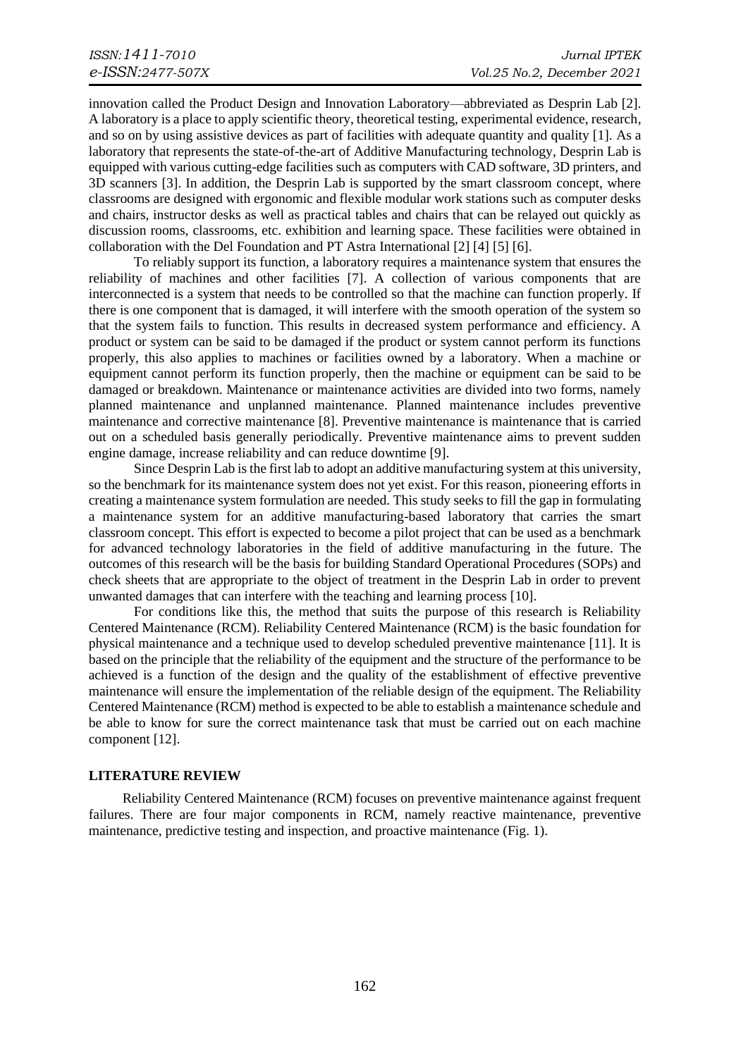innovation called the Product Design and Innovation Laboratory—abbreviated as Desprin Lab [2]. A laboratory is a place to apply scientific theory, theoretical testing, experimental evidence, research, and so on by using assistive devices as part of facilities with adequate quantity and quality [1]. As a laboratory that represents the state-of-the-art of Additive Manufacturing technology, Desprin Lab is equipped with various cutting-edge facilities such as computers with CAD software, 3D printers, and 3D scanners [3]. In addition, the Desprin Lab is supported by the smart classroom concept, where classrooms are designed with ergonomic and flexible modular work stations such as computer desks and chairs, instructor desks as well as practical tables and chairs that can be relayed out quickly as discussion rooms, classrooms, etc. exhibition and learning space. These facilities were obtained in collaboration with the Del Foundation and PT Astra International [2] [4] [5] [6].

To reliably support its function, a laboratory requires a maintenance system that ensures the reliability of machines and other facilities [7]. A collection of various components that are interconnected is a system that needs to be controlled so that the machine can function properly. If there is one component that is damaged, it will interfere with the smooth operation of the system so that the system fails to function. This results in decreased system performance and efficiency. A product or system can be said to be damaged if the product or system cannot perform its functions properly, this also applies to machines or facilities owned by a laboratory. When a machine or equipment cannot perform its function properly, then the machine or equipment can be said to be damaged or breakdown. Maintenance or maintenance activities are divided into two forms, namely planned maintenance and unplanned maintenance. Planned maintenance includes preventive maintenance and corrective maintenance [8]. Preventive maintenance is maintenance that is carried out on a scheduled basis generally periodically. Preventive maintenance aims to prevent sudden engine damage, increase reliability and can reduce downtime [9].

Since Desprin Lab is the first lab to adopt an additive manufacturing system at this university, so the benchmark for its maintenance system does not yet exist. For this reason, pioneering efforts in creating a maintenance system formulation are needed. This study seeks to fill the gap in formulating a maintenance system for an additive manufacturing-based laboratory that carries the smart classroom concept. This effort is expected to become a pilot project that can be used as a benchmark for advanced technology laboratories in the field of additive manufacturing in the future. The outcomes of this research will be the basis for building Standard Operational Procedures (SOPs) and check sheets that are appropriate to the object of treatment in the Desprin Lab in order to prevent unwanted damages that can interfere with the teaching and learning process [10].

For conditions like this, the method that suits the purpose of this research is Reliability Centered Maintenance (RCM). Reliability Centered Maintenance (RCM) is the basic foundation for physical maintenance and a technique used to develop scheduled preventive maintenance [11]. It is based on the principle that the reliability of the equipment and the structure of the performance to be achieved is a function of the design and the quality of the establishment of effective preventive maintenance will ensure the implementation of the reliable design of the equipment. The Reliability Centered Maintenance (RCM) method is expected to be able to establish a maintenance schedule and be able to know for sure the correct maintenance task that must be carried out on each machine component [12].

#### **LITERATURE REVIEW**

Reliability Centered Maintenance (RCM) focuses on preventive maintenance against frequent failures. There are four major components in RCM, namely reactive maintenance, preventive maintenance, predictive testing and inspection, and proactive maintenance (Fig. 1).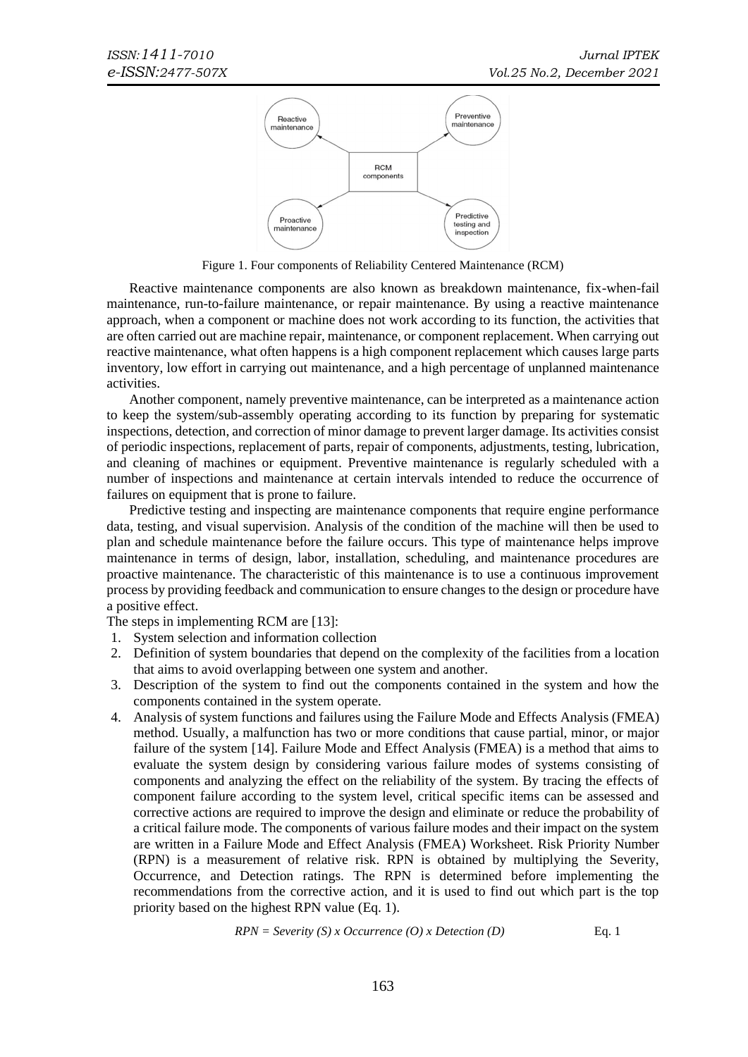

Figure 1. Four components of Reliability Centered Maintenance (RCM)

Reactive maintenance components are also known as breakdown maintenance, fix-when-fail maintenance, run-to-failure maintenance, or repair maintenance. By using a reactive maintenance approach, when a component or machine does not work according to its function, the activities that are often carried out are machine repair, maintenance, or component replacement. When carrying out reactive maintenance, what often happens is a high component replacement which causes large parts inventory, low effort in carrying out maintenance, and a high percentage of unplanned maintenance activities.

Another component, namely preventive maintenance, can be interpreted as a maintenance action to keep the system/sub-assembly operating according to its function by preparing for systematic inspections, detection, and correction of minor damage to prevent larger damage. Its activities consist of periodic inspections, replacement of parts, repair of components, adjustments, testing, lubrication, and cleaning of machines or equipment. Preventive maintenance is regularly scheduled with a number of inspections and maintenance at certain intervals intended to reduce the occurrence of failures on equipment that is prone to failure.

Predictive testing and inspecting are maintenance components that require engine performance data, testing, and visual supervision. Analysis of the condition of the machine will then be used to plan and schedule maintenance before the failure occurs. This type of maintenance helps improve maintenance in terms of design, labor, installation, scheduling, and maintenance procedures are proactive maintenance. The characteristic of this maintenance is to use a continuous improvement process by providing feedback and communication to ensure changes to the design or procedure have a positive effect.

The steps in implementing RCM are [13]:

- 1. System selection and information collection
- 2. Definition of system boundaries that depend on the complexity of the facilities from a location that aims to avoid overlapping between one system and another.
- 3. Description of the system to find out the components contained in the system and how the components contained in the system operate.
- 4. Analysis of system functions and failures using the Failure Mode and Effects Analysis (FMEA) method. Usually, a malfunction has two or more conditions that cause partial, minor, or major failure of the system [14]. Failure Mode and Effect Analysis (FMEA) is a method that aims to evaluate the system design by considering various failure modes of systems consisting of components and analyzing the effect on the reliability of the system. By tracing the effects of component failure according to the system level, critical specific items can be assessed and corrective actions are required to improve the design and eliminate or reduce the probability of a critical failure mode. The components of various failure modes and their impact on the system are written in a Failure Mode and Effect Analysis (FMEA) Worksheet. Risk Priority Number (RPN) is a measurement of relative risk. RPN is obtained by multiplying the Severity, Occurrence, and Detection ratings. The RPN is determined before implementing the recommendations from the corrective action, and it is used to find out which part is the top priority based on the highest RPN value (Eq. 1).

$$
RPN = \text{Severity}(S) \times \text{Occurrence}(O) \times \text{ Detection}(D) \tag{Eq. 1}
$$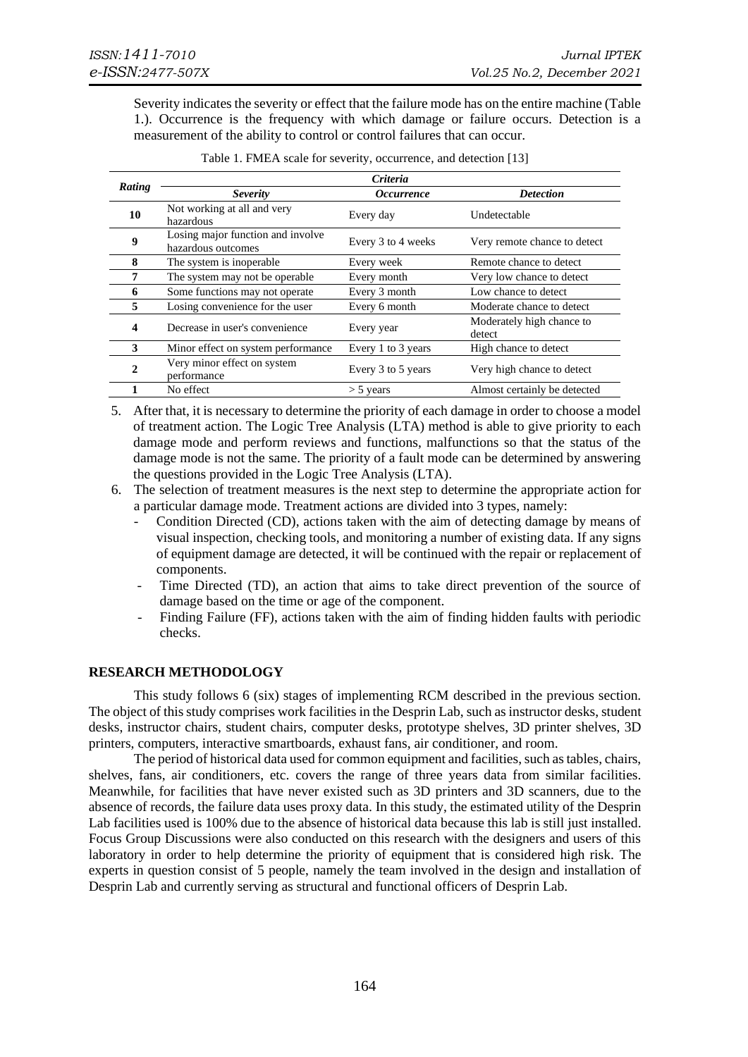Severity indicates the severity or effect that the failure mode has on the entire machine (Table 1.). Occurrence is the frequency with which damage or failure occurs. Detection is a measurement of the ability to control or control failures that can occur.

|                  | <b>Criteria</b>                                         |                          |                                     |  |  |  |
|------------------|---------------------------------------------------------|--------------------------|-------------------------------------|--|--|--|
| Rating           | <b>Severity</b>                                         | <i><b>Occurrence</b></i> | <b>Detection</b>                    |  |  |  |
| 10               | Not working at all and very<br>hazardous                | Every day                | Undetectable                        |  |  |  |
| $\boldsymbol{9}$ | Losing major function and involve<br>hazardous outcomes | Every 3 to 4 weeks       | Very remote chance to detect        |  |  |  |
| 8                | The system is inoperable.                               | Every week               | Remote chance to detect             |  |  |  |
| 7                | The system may not be operable.                         | Every month              | Very low chance to detect           |  |  |  |
| 6                | Some functions may not operate                          | Every 3 month            | Low chance to detect                |  |  |  |
| 5                | Losing convenience for the user                         | Every 6 month            | Moderate chance to detect           |  |  |  |
| 4                | Decrease in user's convenience                          | Every year               | Moderately high chance to<br>detect |  |  |  |
| 3                | Minor effect on system performance                      | Every 1 to 3 years       | High chance to detect               |  |  |  |
| 2                | Very minor effect on system<br>performance              | Every 3 to 5 years       | Very high chance to detect          |  |  |  |
|                  | No effect                                               | $>$ 5 years              | Almost certainly be detected        |  |  |  |

|  |  | Table 1. FMEA scale for severity, occurrence, and detection [13] |  |  |
|--|--|------------------------------------------------------------------|--|--|

- 5. After that, it is necessary to determine the priority of each damage in order to choose a model of treatment action. The Logic Tree Analysis (LTA) method is able to give priority to each damage mode and perform reviews and functions, malfunctions so that the status of the damage mode is not the same. The priority of a fault mode can be determined by answering the questions provided in the Logic Tree Analysis (LTA).
- 6. The selection of treatment measures is the next step to determine the appropriate action for a particular damage mode. Treatment actions are divided into 3 types, namely:
	- Condition Directed (CD), actions taken with the aim of detecting damage by means of visual inspection, checking tools, and monitoring a number of existing data. If any signs of equipment damage are detected, it will be continued with the repair or replacement of components.
	- Time Directed (TD), an action that aims to take direct prevention of the source of damage based on the time or age of the component.
	- Finding Failure (FF), actions taken with the aim of finding hidden faults with periodic checks.

#### **RESEARCH METHODOLOGY**

This study follows 6 (six) stages of implementing RCM described in the previous section. The object of this study comprises work facilities in the Desprin Lab, such as instructor desks, student desks, instructor chairs, student chairs, computer desks, prototype shelves, 3D printer shelves, 3D printers, computers, interactive smartboards, exhaust fans, air conditioner, and room.

The period of historical data used for common equipment and facilities, such as tables, chairs, shelves, fans, air conditioners, etc. covers the range of three years data from similar facilities. Meanwhile, for facilities that have never existed such as 3D printers and 3D scanners, due to the absence of records, the failure data uses proxy data. In this study, the estimated utility of the Desprin Lab facilities used is 100% due to the absence of historical data because this lab is still just installed. Focus Group Discussions were also conducted on this research with the designers and users of this laboratory in order to help determine the priority of equipment that is considered high risk. The experts in question consist of 5 people, namely the team involved in the design and installation of Desprin Lab and currently serving as structural and functional officers of Desprin Lab.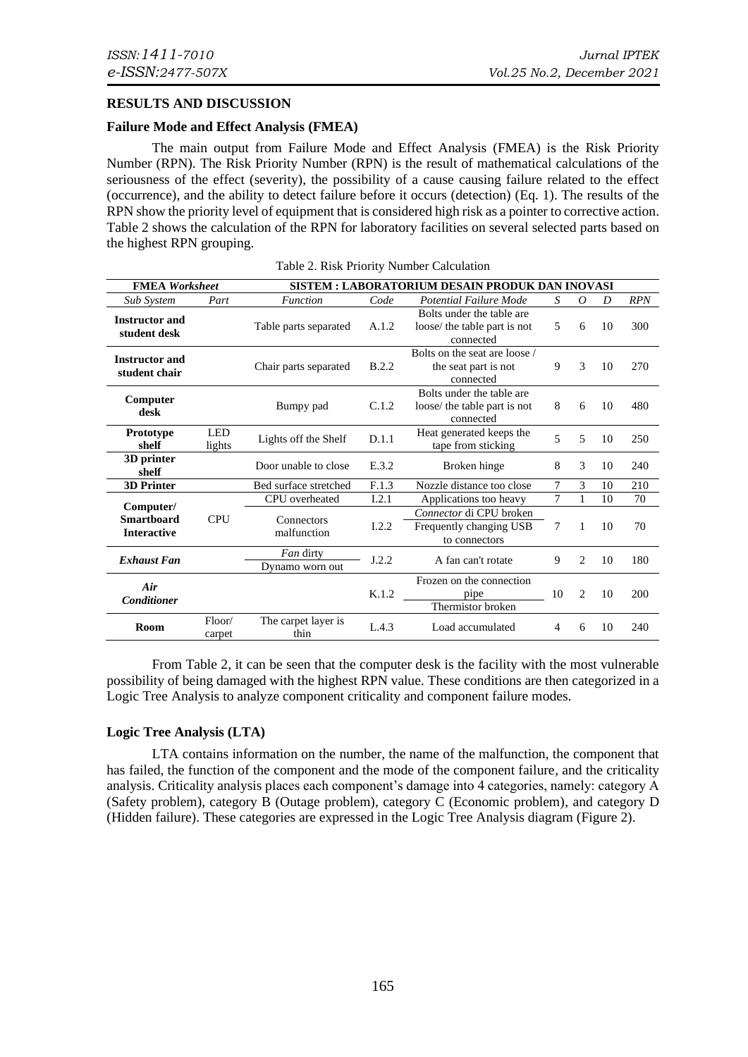#### **RESULTS AND DISCUSSION**

#### **Failure Mode and Effect Analysis (FMEA)**

The main output from Failure Mode and Effect Analysis (FMEA) is the Risk Priority Number (RPN). The Risk Priority Number (RPN) is the result of mathematical calculations of the seriousness of the effect (severity), the possibility of a cause causing failure related to the effect (occurrence), and the ability to detect failure before it occurs (detection) (Eq. 1). The results of the RPN show the priority level of equipment that is considered high risk as a pointer to corrective action. Table 2 shows the calculation of the RPN for laboratory facilities on several selected parts based on the highest RPN grouping.

| <b>FMEA</b> Worksheet                                |                      | SISTEM : LABORATORIUM DESAIN PRODUK DAN INOVASI                                                           |       |                                                                        |    |                |     |            |
|------------------------------------------------------|----------------------|-----------------------------------------------------------------------------------------------------------|-------|------------------------------------------------------------------------|----|----------------|-----|------------|
| <b>Sub System</b>                                    | Part                 | <b>Function</b>                                                                                           | Code  | <b>Potential Failure Mode</b>                                          | S  | $\theta$       | D   | <b>RPN</b> |
| <b>Instructor and</b><br>student desk                |                      | Table parts separated                                                                                     | A.1.2 | Bolts under the table are<br>loose/ the table part is not<br>connected | 5  | 6              | 10  | 300        |
| <b>Instructor and</b><br>student chair               |                      | Bolts on the seat are loose /<br>9<br>B.2.2<br>Chair parts separated<br>the seat part is not<br>connected |       |                                                                        | 3  | 10             | 270 |            |
| Computer<br>desk                                     |                      | Bumpy pad                                                                                                 | C.1.2 | Bolts under the table are<br>loose/ the table part is not<br>connected | 8  | 6              | 10  | 480        |
| Prototype<br>shelf                                   | <b>LED</b><br>lights | Lights off the Shelf                                                                                      | D.1.1 | Heat generated keeps the<br>tape from sticking                         | 5  | 5              | 10  | 250        |
| 3D printer<br>shelf                                  |                      | Door unable to close                                                                                      | E.3.2 | Broken hinge                                                           | 8  | 3              | 10  | 240        |
| <b>3D Printer</b>                                    |                      | Bed surface stretched                                                                                     | F.1.3 | Nozzle distance too close                                              | 7  | 3              | 10  | 210        |
|                                                      |                      | CPU overheated                                                                                            | I.2.1 | Applications too heavy                                                 | 7  | 1              | 10  | 70         |
| Computer/<br><b>Smartboard</b><br><b>Interactive</b> | <b>CPU</b>           | Connectors<br>malfunction                                                                                 | I.2.2 | Connector di CPU broken<br>Frequently changing USB<br>to connectors    | 7  | 1              | 10  | 70         |
| <b>Exhaust Fan</b>                                   |                      | Fan dirty<br>Dynamo worn out                                                                              | J.2.2 | A fan can't rotate                                                     | 9  | 2              | 10  | 180        |
| Air<br><b>Conditioner</b>                            |                      |                                                                                                           | K.1.2 | Frozen on the connection<br>pipe<br>Thermistor broken                  | 10 | $\overline{c}$ | 10  | 200        |
| Room                                                 | Floor/<br>carpet     | The carpet layer is<br>thin                                                                               | L.4.3 | Load accumulated                                                       | 4  | 6              | 10  | 240        |

From Table 2, it can be seen that the computer desk is the facility with the most vulnerable possibility of being damaged with the highest RPN value. These conditions are then categorized in a Logic Tree Analysis to analyze component criticality and component failure modes.

#### **Logic Tree Analysis (LTA)**

LTA contains information on the number, the name of the malfunction, the component that has failed, the function of the component and the mode of the component failure, and the criticality analysis. Criticality analysis places each component's damage into 4 categories, namely: category A (Safety problem), category B (Outage problem), category C (Economic problem), and category D (Hidden failure). These categories are expressed in the Logic Tree Analysis diagram (Figure 2).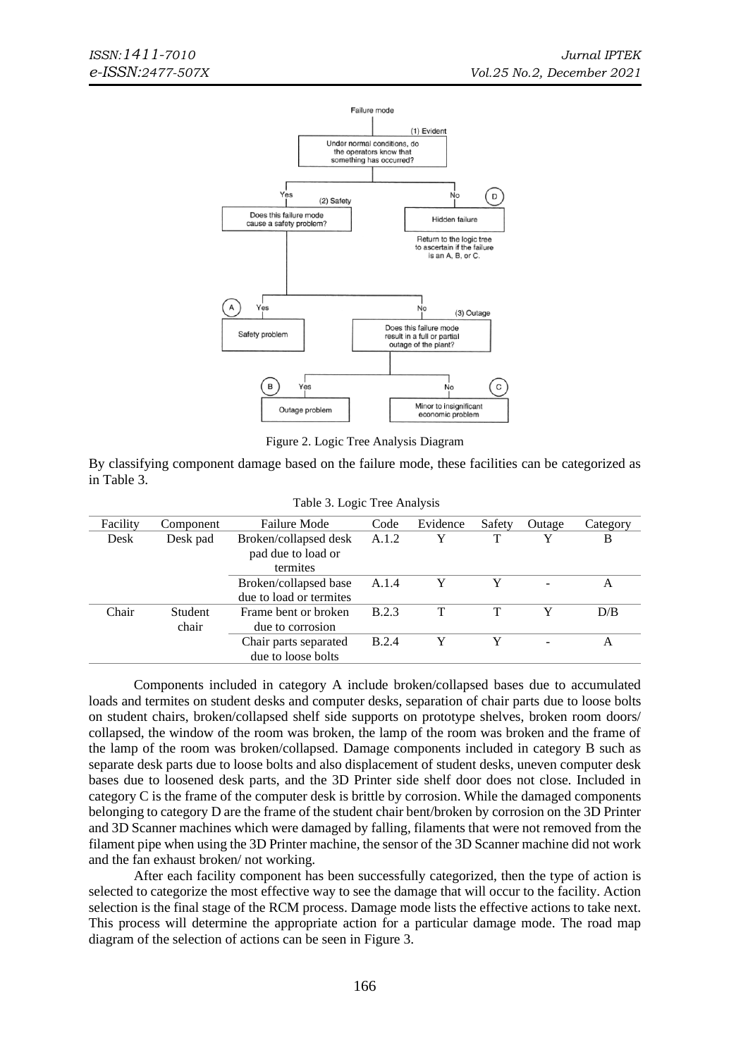

Figure 2. Logic Tree Analysis Diagram

By classifying component damage based on the failure mode, these facilities can be categorized as in Table 3.

|          |                  | $1.0018$ $0.00018$ $1.0001$ $1.0001$                    |              |          |        |        |          |
|----------|------------------|---------------------------------------------------------|--------------|----------|--------|--------|----------|
| Facility | Component        | <b>Failure Mode</b>                                     | Code         | Evidence | Safety | Outage | Category |
| Desk     | Desk pad         | Broken/collapsed desk<br>pad due to load or<br>termites | A.1.2        | Y        | т      | v      | B        |
|          |                  | Broken/collapsed base<br>due to load or termites        | A.1.4        | Y        |        |        | A        |
| Chair    | Student<br>chair | Frame bent or broken<br>due to corrosion                | <b>B.2.3</b> |          |        | Y      | D/B      |
|          |                  | Chair parts separated<br>due to loose bolts             | <b>B.2.4</b> | Y        |        |        | A        |

Table 3. Logic Tree Analysis

Components included in category A include broken/collapsed bases due to accumulated loads and termites on student desks and computer desks, separation of chair parts due to loose bolts on student chairs, broken/collapsed shelf side supports on prototype shelves, broken room doors/ collapsed, the window of the room was broken, the lamp of the room was broken and the frame of the lamp of the room was broken/collapsed. Damage components included in category B such as separate desk parts due to loose bolts and also displacement of student desks, uneven computer desk bases due to loosened desk parts, and the 3D Printer side shelf door does not close. Included in category C is the frame of the computer desk is brittle by corrosion. While the damaged components belonging to category D are the frame of the student chair bent/broken by corrosion on the 3D Printer and 3D Scanner machines which were damaged by falling, filaments that were not removed from the filament pipe when using the 3D Printer machine, the sensor of the 3D Scanner machine did not work and the fan exhaust broken/ not working.

After each facility component has been successfully categorized, then the type of action is selected to categorize the most effective way to see the damage that will occur to the facility. Action selection is the final stage of the RCM process. Damage mode lists the effective actions to take next. This process will determine the appropriate action for a particular damage mode. The road map diagram of the selection of actions can be seen in Figure 3.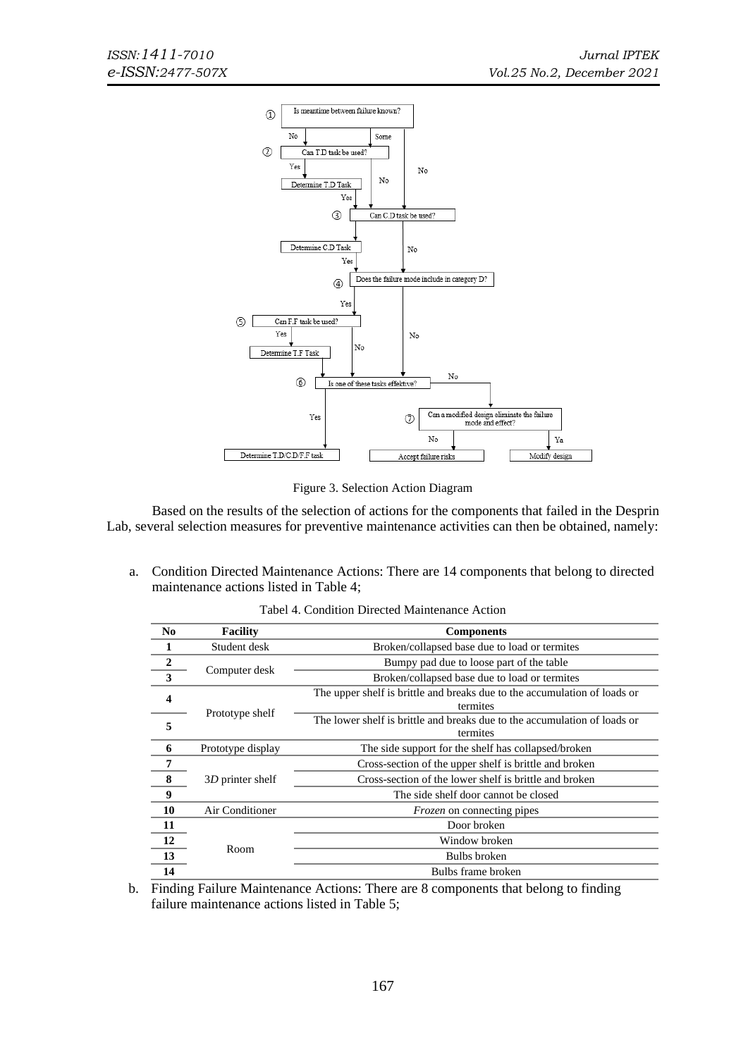

Figure 3. Selection Action Diagram

Based on the results of the selection of actions for the components that failed in the Desprin Lab, several selection measures for preventive maintenance activities can then be obtained, namely:

a. Condition Directed Maintenance Actions: There are 14 components that belong to directed maintenance actions listed in Table 4;

| N <sub>0</sub>          | <b>Facility</b>   | <b>Components</b>                                                                     |
|-------------------------|-------------------|---------------------------------------------------------------------------------------|
|                         | Student desk      | Broken/collapsed base due to load or termites                                         |
| $\frac{2}{3}$           |                   | Bumpy pad due to loose part of the table                                              |
|                         | Computer desk     | Broken/collapsed base due to load or termites                                         |
| $\overline{\mathbf{4}}$ |                   | The upper shelf is brittle and breaks due to the accumulation of loads or<br>termites |
| 5                       | Prototype shelf   | The lower shelf is brittle and breaks due to the accumulation of loads or<br>termites |
| 6                       | Prototype display | The side support for the shelf has collapsed/broken                                   |
| 7                       |                   | Cross-section of the upper shelf is brittle and broken                                |
| 8                       | 3D printer shelf  | Cross-section of the lower shelf is brittle and broken                                |
| 9                       |                   | The side shelf door cannot be closed                                                  |
| 10                      | Air Conditioner   | <i>Frozen</i> on connecting pipes                                                     |
| 11                      |                   | Door broken                                                                           |
| 12                      | Room              | Window broken                                                                         |
| 13                      |                   | Bulbs broken                                                                          |
| 14                      |                   | Bulbs frame broken                                                                    |

Tabel 4. Condition Directed Maintenance Action

b. Finding Failure Maintenance Actions: There are 8 components that belong to finding failure maintenance actions listed in Table 5;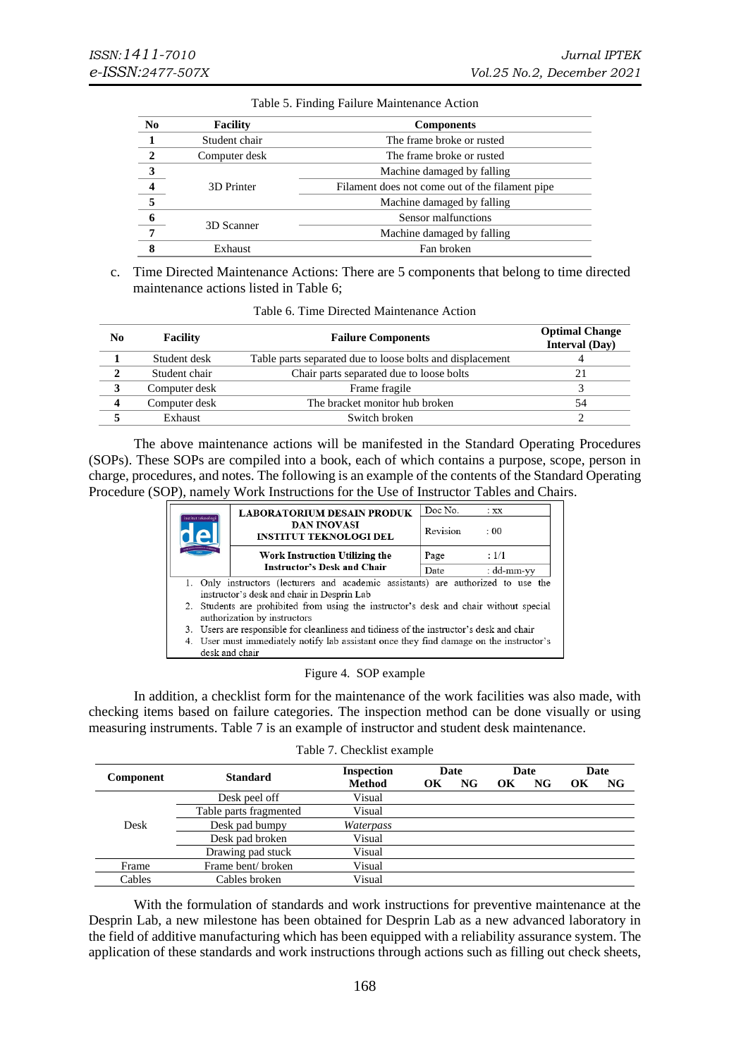| N <sub>0</sub>          | <b>Facility</b> | <b>Components</b>                               |
|-------------------------|-----------------|-------------------------------------------------|
|                         | Student chair   | The frame broke or rusted                       |
| $\overline{\mathbf{c}}$ | Computer desk   | The frame broke or rusted                       |
| 3                       |                 | Machine damaged by falling                      |
| $\overline{\mathbf{4}}$ | 3D Printer      | Filament does not come out of the filament pipe |
| $\overline{5}$          |                 | Machine damaged by falling                      |
| $\frac{6}{ }$           |                 | Sensor malfunctions                             |
| $\overline{7}$          | 3D Scanner      | Machine damaged by falling                      |
| я                       | Exhaust         | Fan broken                                      |

#### Table 5. Finding Failure Maintenance Action

c. Time Directed Maintenance Actions: There are 5 components that belong to time directed maintenance actions listed in Table 6;

| No                      | Facility      | <b>Failure Components</b>                                 | <b>Optimal Change</b><br><b>Interval</b> (Day) |
|-------------------------|---------------|-----------------------------------------------------------|------------------------------------------------|
|                         | Student desk  | Table parts separated due to loose bolts and displacement |                                                |
| $\mathbf{2}$            | Student chair | Chair parts separated due to loose bolts                  | 21                                             |
| 3                       | Computer desk | Frame fragile                                             |                                                |
| $\overline{\mathbf{4}}$ | Computer desk | The bracket monitor hub broken                            | 54                                             |
|                         | Exhaust       | Switch broken                                             | ◠                                              |

The above maintenance actions will be manifested in the Standard Operating Procedures (SOPs). These SOPs are compiled into a book, each of which contains a purpose, scope, person in charge, procedures, and notes. The following is an example of the contents of the Standard Operating Procedure (SOP), namely Work Instructions for the Use of Instructor Tables and Chairs.

|                    | <b>LABORATORIUM DESAIN PRODUK</b>                                                        | Doc No.  | $:$ XX     |  |  |  |  |
|--------------------|------------------------------------------------------------------------------------------|----------|------------|--|--|--|--|
| institut teknologi | <b>DAN INOVASI</b><br><b>INSTITUT TEKNOLOGI DEL</b>                                      | Revision | : 00       |  |  |  |  |
|                    | Work Instruction Utilizing the                                                           | Page     | : 1/1      |  |  |  |  |
|                    | <b>Instructor's Desk and Chair</b>                                                       | Date     | : dd-mm-vy |  |  |  |  |
|                    | 1. Only instructors (lecturers and academic assistants) are authorized to use the        |          |            |  |  |  |  |
|                    | instructor's desk and chair in Desprin Lab                                               |          |            |  |  |  |  |
|                    | 2. Students are prohibited from using the instructor's desk and chair without special    |          |            |  |  |  |  |
|                    | authorization by instructors                                                             |          |            |  |  |  |  |
|                    | 3. Users are responsible for cleanliness and tidiness of the instructor's desk and chair |          |            |  |  |  |  |
|                    | 4. User must immediately notify lab assistant once they find damage on the instructor's  |          |            |  |  |  |  |
|                    | desk and chair                                                                           |          |            |  |  |  |  |

|  | Figure 4. SOP example |
|--|-----------------------|
|--|-----------------------|

In addition, a checklist form for the maintenance of the work facilities was also made, with checking items based on failure categories. The inspection method can be done visually or using measuring instruments. Table 7 is an example of instructor and student desk maintenance.

| Component | <b>Standard</b>        | <b>Inspection</b> | Date |           | Date |    | Date |    |
|-----------|------------------------|-------------------|------|-----------|------|----|------|----|
|           |                        | <b>Method</b>     | OК   | <b>NG</b> | OК   | NG | OK   | NG |
| Desk      | Desk peel off          | Visual            |      |           |      |    |      |    |
|           | Table parts fragmented | Visual            |      |           |      |    |      |    |
|           | Desk pad bumpy         | Waterpass         |      |           |      |    |      |    |
|           | Desk pad broken        | Visual            |      |           |      |    |      |    |
|           | Drawing pad stuck      | Visual            |      |           |      |    |      |    |
| Frame     | Frame bent/broken      | Visual            |      |           |      |    |      |    |
| Cables    | Cables broken          | Visual            |      |           |      |    |      |    |

With the formulation of standards and work instructions for preventive maintenance at the Desprin Lab, a new milestone has been obtained for Desprin Lab as a new advanced laboratory in the field of additive manufacturing which has been equipped with a reliability assurance system. The application of these standards and work instructions through actions such as filling out check sheets,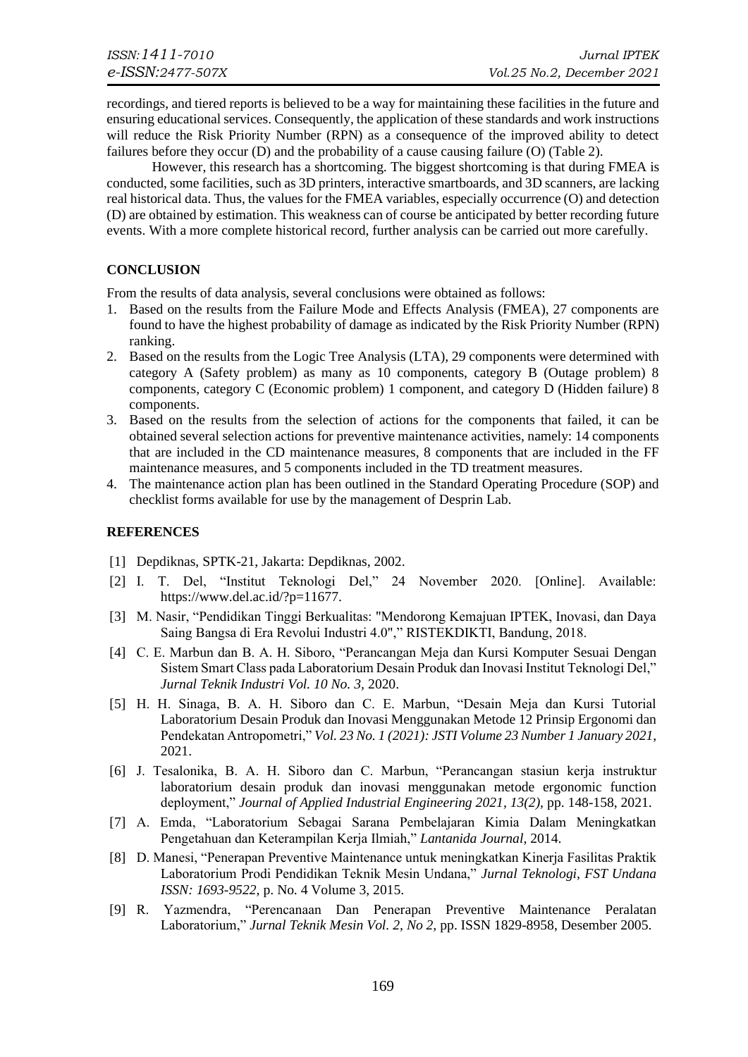recordings, and tiered reports is believed to be a way for maintaining these facilities in the future and ensuring educational services. Consequently, the application of these standards and work instructions will reduce the Risk Priority Number (RPN) as a consequence of the improved ability to detect failures before they occur (D) and the probability of a cause causing failure (O) (Table 2).

However, this research has a shortcoming. The biggest shortcoming is that during FMEA is conducted, some facilities, such as 3D printers, interactive smartboards, and 3D scanners, are lacking real historical data. Thus, the values for the FMEA variables, especially occurrence (O) and detection (D) are obtained by estimation. This weakness can of course be anticipated by better recording future events. With a more complete historical record, further analysis can be carried out more carefully.

### **CONCLUSION**

From the results of data analysis, several conclusions were obtained as follows:

- 1. Based on the results from the Failure Mode and Effects Analysis (FMEA), 27 components are found to have the highest probability of damage as indicated by the Risk Priority Number (RPN) ranking.
- 2. Based on the results from the Logic Tree Analysis (LTA), 29 components were determined with category A (Safety problem) as many as 10 components, category B (Outage problem) 8 components, category C (Economic problem) 1 component, and category D (Hidden failure) 8 components.
- 3. Based on the results from the selection of actions for the components that failed, it can be obtained several selection actions for preventive maintenance activities, namely: 14 components that are included in the CD maintenance measures, 8 components that are included in the FF maintenance measures, and 5 components included in the TD treatment measures.
- 4. The maintenance action plan has been outlined in the Standard Operating Procedure (SOP) and checklist forms available for use by the management of Desprin Lab.

#### **REFERENCES**

- [1] Depdiknas, SPTK-21, Jakarta: Depdiknas, 2002.
- [2] I. T. Del, "Institut Teknologi Del," 24 November 2020. [Online]. Available: https://www.del.ac.id/?p=11677.
- [3] M. Nasir, "Pendidikan Tinggi Berkualitas: "Mendorong Kemajuan IPTEK, Inovasi, dan Daya Saing Bangsa di Era Revolui Industri 4.0"," RISTEKDIKTI, Bandung, 2018.
- [4] C. E. Marbun dan B. A. H. Siboro, "Perancangan Meja dan Kursi Komputer Sesuai Dengan Sistem Smart Class pada Laboratorium Desain Produk dan Inovasi Institut Teknologi Del," *Jurnal Teknik Industri Vol. 10 No. 3,* 2020.
- [5] H. H. Sinaga, B. A. H. Siboro dan C. E. Marbun, "Desain Meja dan Kursi Tutorial Laboratorium Desain Produk dan Inovasi Menggunakan Metode 12 Prinsip Ergonomi dan Pendekatan Antropometri," *Vol. 23 No. 1 (2021): JSTI Volume 23 Number 1 January 2021,*  2021.
- [6] J. Tesalonika, B. A. H. Siboro dan C. Marbun, "Perancangan stasiun kerja instruktur laboratorium desain produk dan inovasi menggunakan metode ergonomic function deployment," *Journal of Applied Industrial Engineering 2021, 13(2),* pp. 148-158, 2021.
- [7] A. Emda, "Laboratorium Sebagai Sarana Pembelajaran Kimia Dalam Meningkatkan Pengetahuan dan Keterampilan Kerja Ilmiah," *Lantanida Journal,* 2014.
- [8] D. Manesi, "Penerapan Preventive Maintenance untuk meningkatkan Kinerja Fasilitas Praktik Laboratorium Prodi Pendidikan Teknik Mesin Undana," *Jurnal Teknologi, FST Undana ISSN: 1693-9522,* p. No. 4 Volume 3, 2015.
- [9] R. Yazmendra, "Perencanaan Dan Penerapan Preventive Maintenance Peralatan Laboratorium," *Jurnal Teknik Mesin Vol. 2, No 2,* pp. ISSN 1829-8958, Desember 2005.